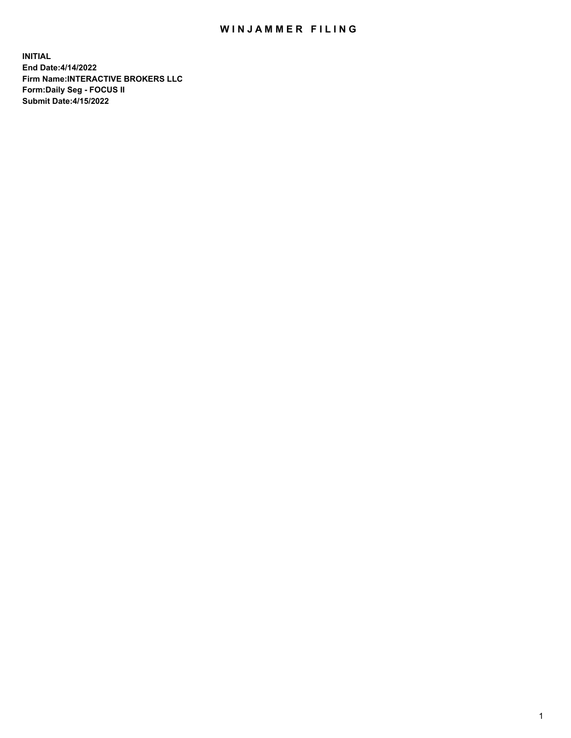## WIN JAMMER FILING

**INITIAL End Date:4/14/2022 Firm Name:INTERACTIVE BROKERS LLC Form:Daily Seg - FOCUS II Submit Date:4/15/2022**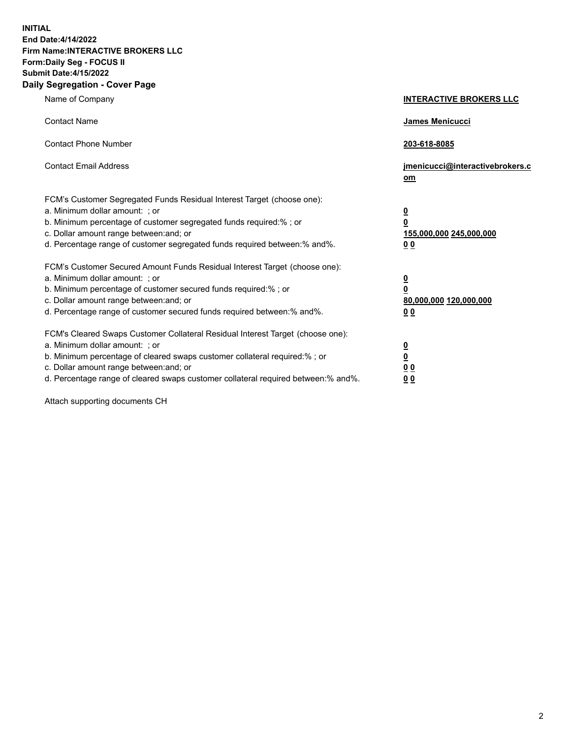**INITIAL End Date:4/14/2022 Firm Name:INTERACTIVE BROKERS LLC Form:Daily Seg - FOCUS II Submit Date:4/15/2022 Daily Segregation - Cover Page**

| Name of Company                                                                                                                                                                                                                                                                                                                | <b>INTERACTIVE BROKERS LLC</b>                                           |  |
|--------------------------------------------------------------------------------------------------------------------------------------------------------------------------------------------------------------------------------------------------------------------------------------------------------------------------------|--------------------------------------------------------------------------|--|
| <b>Contact Name</b>                                                                                                                                                                                                                                                                                                            | James Menicucci                                                          |  |
| <b>Contact Phone Number</b>                                                                                                                                                                                                                                                                                                    | 203-618-8085                                                             |  |
| <b>Contact Email Address</b>                                                                                                                                                                                                                                                                                                   | jmenicucci@interactivebrokers.c<br>om                                    |  |
| FCM's Customer Segregated Funds Residual Interest Target (choose one):<br>a. Minimum dollar amount: ; or<br>b. Minimum percentage of customer segregated funds required:% ; or<br>c. Dollar amount range between: and; or<br>d. Percentage range of customer segregated funds required between: % and %.                       | <u>0</u><br>0<br>155,000,000 245,000,000<br>0 <sub>0</sub>               |  |
| FCM's Customer Secured Amount Funds Residual Interest Target (choose one):<br>a. Minimum dollar amount: ; or<br>b. Minimum percentage of customer secured funds required:% ; or<br>c. Dollar amount range between: and; or<br>d. Percentage range of customer secured funds required between:% and%.                           | <u>0</u><br>$\overline{\mathbf{0}}$<br>80,000,000 120,000,000<br>00      |  |
| FCM's Cleared Swaps Customer Collateral Residual Interest Target (choose one):<br>a. Minimum dollar amount: ; or<br>b. Minimum percentage of cleared swaps customer collateral required:% ; or<br>c. Dollar amount range between: and; or<br>d. Percentage range of cleared swaps customer collateral required between:% and%. | <u>0</u><br>$\underline{\mathbf{0}}$<br>0 <sub>0</sub><br>0 <sub>0</sub> |  |

Attach supporting documents CH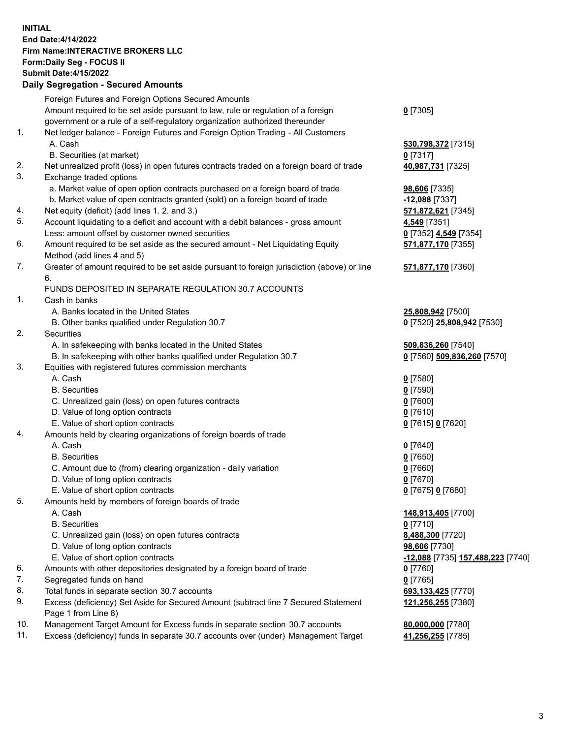**INITIAL End Date:4/14/2022 Firm Name:INTERACTIVE BROKERS LLC Form:Daily Seg - FOCUS II Submit Date:4/15/2022 Daily Segregation - Secured Amounts**

## Foreign Futures and Foreign Options Secured Amounts Amount required to be set aside pursuant to law, rule or regulation of a foreign government or a rule of a self-regulatory organization authorized thereunder **0** [7305] 1. Net ledger balance - Foreign Futures and Foreign Option Trading - All Customers A. Cash **530,798,372** [7315] B. Securities (at market) **0** [7317] 2. Net unrealized profit (loss) in open futures contracts traded on a foreign board of trade **40,987,731** [7325] 3. Exchange traded options a. Market value of open option contracts purchased on a foreign board of trade **98,606** [7335] b. Market value of open contracts granted (sold) on a foreign board of trade **-12,088** [7337] 4. Net equity (deficit) (add lines 1. 2. and 3.) **571,872,621** [7345] 5. Account liquidating to a deficit and account with a debit balances - gross amount **4,549** [7351] Less: amount offset by customer owned securities **0** [7352] **4,549** [7354] 6. Amount required to be set aside as the secured amount - Net Liquidating Equity Method (add lines 4 and 5) **571,877,170** [7355] 7. Greater of amount required to be set aside pursuant to foreign jurisdiction (above) or line 6. **571,877,170** [7360] FUNDS DEPOSITED IN SEPARATE REGULATION 30.7 ACCOUNTS 1. Cash in banks A. Banks located in the United States **25,808,942** [7500] B. Other banks qualified under Regulation 30.7 **0** [7520] **25,808,942** [7530] 2. Securities A. In safekeeping with banks located in the United States **509,836,260** [7540] B. In safekeeping with other banks qualified under Regulation 30.7 **0** [7560] **509,836,260** [7570] 3. Equities with registered futures commission merchants A. Cash **0** [7580] B. Securities **0** [7590] C. Unrealized gain (loss) on open futures contracts **0** [7600] D. Value of long option contracts **0** [7610] E. Value of short option contracts **0** [7615] **0** [7620] 4. Amounts held by clearing organizations of foreign boards of trade A. Cash **0** [7640] B. Securities **0** [7650] C. Amount due to (from) clearing organization - daily variation **0** [7660] D. Value of long option contracts **0** [7670] E. Value of short option contracts **0** [7675] **0** [7680] 5. Amounts held by members of foreign boards of trade A. Cash **148,913,405** [7700] B. Securities **0** [7710] C. Unrealized gain (loss) on open futures contracts **8,488,300** [7720] D. Value of long option contracts **98,606** [7730] E. Value of short option contracts **-12,088** [7735] **157,488,223** [7740] 6. Amounts with other depositories designated by a foreign board of trade **0** [7760] 7. Segregated funds on hand **0** [7765] 8. Total funds in separate section 30.7 accounts **693,133,425** [7770] 9. Excess (deficiency) Set Aside for Secured Amount (subtract line 7 Secured Statement Page 1 from Line 8) **121,256,255** [7380] 10. Management Target Amount for Excess funds in separate section 30.7 accounts **80,000,000** [7780] 11. Excess (deficiency) funds in separate 30.7 accounts over (under) Management Target **41,256,255** [7785]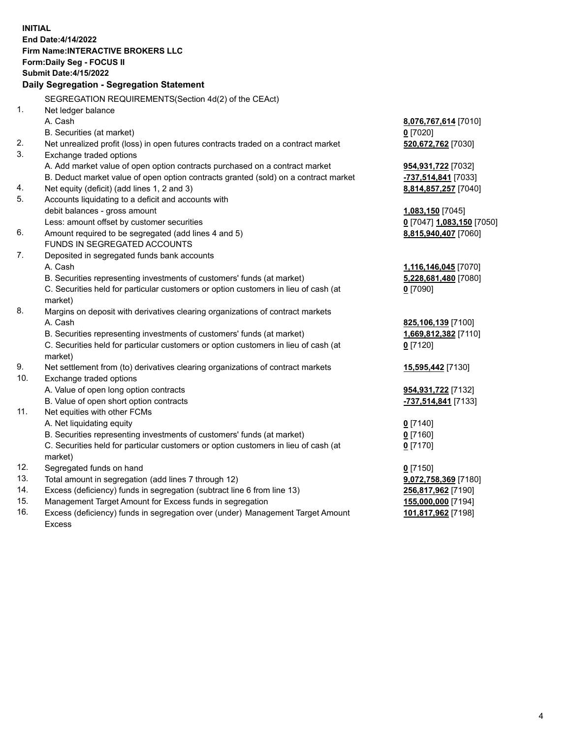**INITIAL End Date:4/14/2022 Firm Name:INTERACTIVE BROKERS LLC Form:Daily Seg - FOCUS II Submit Date:4/15/2022 Daily Segregation - Segregation Statement** SEGREGATION REQUIREMENTS(Section 4d(2) of the CEAct) 1. Net ledger balance A. Cash **8,076,767,614** [7010] B. Securities (at market) **0** [7020] 2. Net unrealized profit (loss) in open futures contracts traded on a contract market **520,672,762** [7030] 3. Exchange traded options A. Add market value of open option contracts purchased on a contract market **954,931,722** [7032] B. Deduct market value of open option contracts granted (sold) on a contract market **-737,514,841** [7033] 4. Net equity (deficit) (add lines 1, 2 and 3) **8,814,857,257** [7040] 5. Accounts liquidating to a deficit and accounts with debit balances - gross amount **1,083,150** [7045] Less: amount offset by customer securities **0** [7047] **1,083,150** [7050] 6. Amount required to be segregated (add lines 4 and 5) **8,815,940,407** [7060] FUNDS IN SEGREGATED ACCOUNTS 7. Deposited in segregated funds bank accounts A. Cash **1,116,146,045** [7070] B. Securities representing investments of customers' funds (at market) **5,228,681,480** [7080] C. Securities held for particular customers or option customers in lieu of cash (at market) **0** [7090] 8. Margins on deposit with derivatives clearing organizations of contract markets A. Cash **825,106,139** [7100] B. Securities representing investments of customers' funds (at market) **1,669,812,382** [7110] C. Securities held for particular customers or option customers in lieu of cash (at market) **0** [7120] 9. Net settlement from (to) derivatives clearing organizations of contract markets **15,595,442** [7130] 10. Exchange traded options A. Value of open long option contracts **954,931,722** [7132] B. Value of open short option contracts **-737,514,841** [7133] 11. Net equities with other FCMs A. Net liquidating equity **0** [7140] B. Securities representing investments of customers' funds (at market) **0** [7160] C. Securities held for particular customers or option customers in lieu of cash (at market) **0** [7170] 12. Segregated funds on hand **0** [7150] 13. Total amount in segregation (add lines 7 through 12) **9,072,758,369** [7180] 14. Excess (deficiency) funds in segregation (subtract line 6 from line 13) **256,817,962** [7190] 15. Management Target Amount for Excess funds in segregation **155,000,000** [7194] 16. Excess (deficiency) funds in segregation over (under) Management Target Amount Excess **101,817,962** [7198]